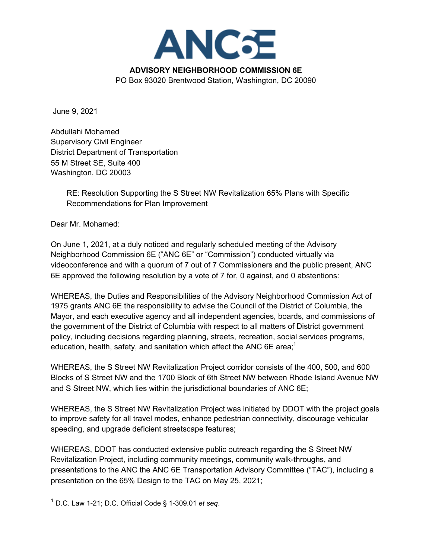

**ADVISORY NEIGHBORHOOD COMMISSION 6E**

PO Box 93020 Brentwood Station, Washington, DC 20090

June 9, 2021

Abdullahi Mohamed Supervisory Civil Engineer District Department of Transportation 55 M Street SE, Suite 400 Washington, DC 20003

> RE: Resolution Supporting the S Street NW Revitalization 65% Plans with Specific Recommendations for Plan Improvement

Dear Mr. Mohamed:

On June 1, 2021, at a duly noticed and regularly scheduled meeting of the Advisory Neighborhood Commission 6E ("ANC 6E" or "Commission") conducted virtually via videoconference and with a quorum of 7 out of 7 Commissioners and the public present, ANC 6E approved the following resolution by a vote of 7 for, 0 against, and 0 abstentions:

WHEREAS, the Duties and Responsibilities of the Advisory Neighborhood Commission Act of 1975 grants ANC 6E the responsibility to advise the Council of the District of Columbia, the Mayor, and each executive agency and all independent agencies, boards, and commissions of the government of the District of Columbia with respect to all matters of District government policy, including decisions regarding planning, streets, recreation, social services programs, education, health, safety, and sanitation which affect the ANC 6E area;<sup>1</sup>

WHEREAS, the S Street NW Revitalization Project corridor consists of the 400, 500, and 600 Blocks of S Street NW and the 1700 Block of 6th Street NW between Rhode Island Avenue NW and S Street NW, which lies within the jurisdictional boundaries of ANC 6E;

WHEREAS, the S Street NW Revitalization Project was initiated by DDOT with the project goals to improve safety for all travel modes, enhance pedestrian connectivity, discourage vehicular speeding, and upgrade deficient streetscape features;

WHEREAS, DDOT has conducted extensive public outreach regarding the S Street NW Revitalization Project, including community meetings, community walk-throughs, and presentations to the ANC the ANC 6E Transportation Advisory Committee ("TAC"), including a presentation on the 65% Design to the TAC on May 25, 2021;

<sup>1</sup> D.C. Law 1-21; D.C. Official Code § 1-309.01 *et seq*.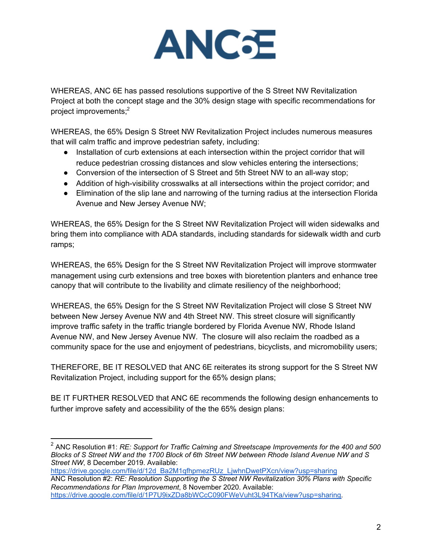

WHEREAS, ANC 6E has passed resolutions supportive of the S Street NW Revitalization Project at both the concept stage and the 30% design stage with specific recommendations for project improvements;2

WHEREAS, the 65% Design S Street NW Revitalization Project includes numerous measures that will calm traffic and improve pedestrian safety, including:

- Installation of curb extensions at each intersection within the project corridor that will reduce pedestrian crossing distances and slow vehicles entering the intersections;
- Conversion of the intersection of S Street and 5th Street NW to an all-way stop;
- Addition of high-visibility crosswalks at all intersections within the project corridor; and
- Elimination of the slip lane and narrowing of the turning radius at the intersection Florida Avenue and New Jersey Avenue NW;

WHEREAS, the 65% Design for the S Street NW Revitalization Project will widen sidewalks and bring them into compliance with ADA standards, including standards for sidewalk width and curb ramps;

WHEREAS, the 65% Design for the S Street NW Revitalization Project will improve stormwater management using curb extensions and tree boxes with bioretention planters and enhance tree canopy that will contribute to the livability and climate resiliency of the neighborhood;

WHEREAS, the 65% Design for the S Street NW Revitalization Project will close S Street NW between New Jersey Avenue NW and 4th Street NW. This street closure will significantly improve traffic safety in the traffic triangle bordered by Florida Avenue NW, Rhode Island Avenue NW, and New Jersey Avenue NW. The closure will also reclaim the roadbed as a community space for the use and enjoyment of pedestrians, bicyclists, and micromobility users;

THEREFORE, BE IT RESOLVED that ANC 6E reiterates its strong support for the S Street NW Revitalization Project, including support for the 65% design plans;

BE IT FURTHER RESOLVED that ANC 6E recommends the following design enhancements to further improve safety and accessibility of the the 65% design plans:

https://drive.google.com/file/d/12d\_Ba2M1qfhpmezRUz\_LjwhnDwetPXcn/view?usp=sharing

<sup>2</sup> ANC Resolution #1: *RE: Support for Traffic Calming and Streetscape Improvements for the 400 and 500 Blocks of S Street NW and the 1700 Block of 6th Street NW between Rhode Island Avenue NW and S Street NW*, 8 December 2019. Available:

ANC Resolution #2: *RE: Resolution Supporting the S Street NW Revitalization 30% Plans with Specific Recommendations for Plan Improvement*, 8 November 2020. Available:

https://drive.google.com/file/d/1P7U9ixZDa8bWCcC090FWeVuht3L94TKa/view?usp=sharing.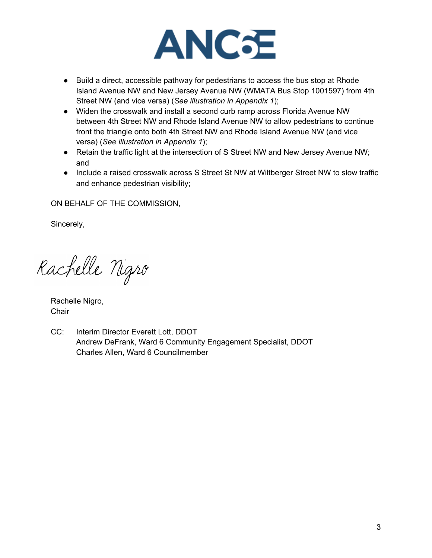

- Build a direct, accessible pathway for pedestrians to access the bus stop at Rhode Island Avenue NW and New Jersey Avenue NW (WMATA Bus Stop 1001597) from 4th Street NW (and vice versa) (*See illustration in Appendix 1*);
- Widen the crosswalk and install a second curb ramp across Florida Avenue NW between 4th Street NW and Rhode Island Avenue NW to allow pedestrians to continue front the triangle onto both 4th Street NW and Rhode Island Avenue NW (and vice versa) (*See illustration in Appendix 1*);
- Retain the traffic light at the intersection of S Street NW and New Jersey Avenue NW; and
- Include a raised crosswalk across S Street St NW at Wiltberger Street NW to slow traffic and enhance pedestrian visibility;

ON BEHALF OF THE COMMISSION,

Sincerely,

Rachelle Nigro

Rachelle Nigro, **Chair** 

CC: Interim Director Everett Lott, DDOT Andrew DeFrank, Ward 6 Community Engagement Specialist, DDOT Charles Allen, Ward 6 Councilmember